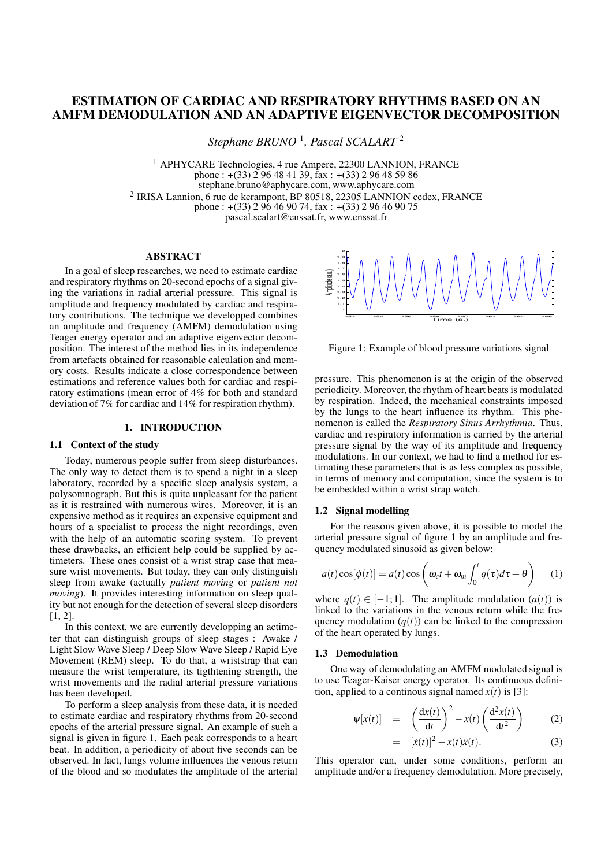# **ESTIMATION OF CARDIAC AND RESPIRATORY RHYTHMS BASED ON AN AMFM DEMODULATION AND AN ADAPTIVE EIGENVECTOR DECOMPOSITION**

*Stephane BRUNO* <sup>1</sup> *, Pascal SCALART* <sup>2</sup>

<sup>1</sup> APHYCARE Technologies, 4 rue Ampere, 22300 LANNION, FRANCE phone :  $+(33)$  2 96 48 41 39, fax :  $+(33)$  2 96 48 59 86 stephane.bruno@aphycare.com, www.aphycare.com <sup>2</sup> IRISA Lannion, 6 rue de kerampont, BP 80518, 22305 LANNION cedex, FRANCE phone : +(33) 2 96 46 90 74, fax : +(33) 2 96 46 90 75

pascal.scalart@enssat.fr, www.enssat.fr

# **ABSTRACT**

In a goal of sleep researches, we need to estimate cardiac and respiratory rhythms on 20-second epochs of a signal giving the variations in radial arterial pressure. This signal is amplitude and frequency modulated by cardiac and respiratory contributions. The technique we developped combines an amplitude and frequency (AMFM) demodulation using Teager energy operator and an adaptive eigenvector decomposition. The interest of the method lies in its independence from artefacts obtained for reasonable calculation and memory costs. Results indicate a close correspondence between estimations and reference values both for cardiac and respiratory estimations (mean error of 4% for both and standard deviation of 7% for cardiac and 14% for respiration rhythm).

#### **1. INTRODUCTION**

# **1.1 Context of the study**

Today, numerous people suffer from sleep disturbances. The only way to detect them is to spend a night in a sleep laboratory, recorded by a specific sleep analysis system, a polysomnograph. But this is quite unpleasant for the patient as it is restrained with numerous wires. Moreover, it is an expensive method as it requires an expensive equipment and hours of a specialist to process the night recordings, even with the help of an automatic scoring system. To prevent these drawbacks, an efficient help could be supplied by actimeters. These ones consist of a wrist strap case that measure wrist movements. But today, they can only distinguish sleep from awake (actually *patient moving* or *patient not moving*). It provides interesting information on sleep quality but not enough for the detection of several sleep disorders  $[1, 2]$ .

In this context, we are currently developping an actimeter that can distinguish groups of sleep stages : Awake / Light Slow Wave Sleep / Deep Slow Wave Sleep / Rapid Eye Movement (REM) sleep. To do that, a wriststrap that can measure the wrist temperature, its tigthtening strength, the wrist movements and the radial arterial pressure variations has been developed.

To perform a sleep analysis from these data, it is needed to estimate cardiac and respiratory rhythms from 20-second epochs of the arterial pressure signal. An example of such a signal is given in figure 1. Each peak corresponds to a heart beat. In addition, a periodicity of about five seconds can be observed. In fact, lungs volume influences the venous return of the blood and so modulates the amplitude of the arterial



Figure 1: Example of blood pressure variations signal

pressure. This phenomenon is at the origin of the observed periodicity. Moreover, the rhythm of heart beats is modulated by respiration. Indeed, the mechanical constraints imposed by the lungs to the heart influence its rhythm. This phenomenon is called the *Respiratory Sinus Arrhythmia*. Thus, cardiac and respiratory information is carried by the arterial pressure signal by the way of its amplitude and frequency modulations. In our context, we had to find a method for estimating these parameters that is as less complex as possible, in terms of memory and computation, since the system is to be embedded within a wrist strap watch.

### **1.2 Signal modelling**

For the reasons given above, it is possible to model the arterial pressure signal of figure 1 by an amplitude and frequency modulated sinusoid as given below:

$$
a(t)\cos[\phi(t)] = a(t)\cos\left(\omega_c t + \omega_m \int_0^t q(\tau)d\tau + \theta\right) \quad (1)
$$

where  $q(t) \in [-1, 1]$ . The amplitude modulation  $(a(t))$  is linked to the variations in the venous return while the frequency modulation  $(q(t))$  can be linked to the compression of the heart operated by lungs.

#### **1.3 Demodulation**

One way of demodulating an AMFM modulated signal is to use Teager-Kaiser energy operator. Its continuous definition, applied to a continuous signal named  $x(t)$  is [3]:

$$
\Psi[x(t)] = \left(\frac{dx(t)}{dt}\right)^2 - x(t)\left(\frac{d^2x(t)}{dt^2}\right) \tag{2}
$$

$$
= [x(t)]^2 - x(t)\ddot{x}(t).
$$
 (3)

This operator can, under some conditions, perform an amplitude and/or a frequency demodulation. More precisely,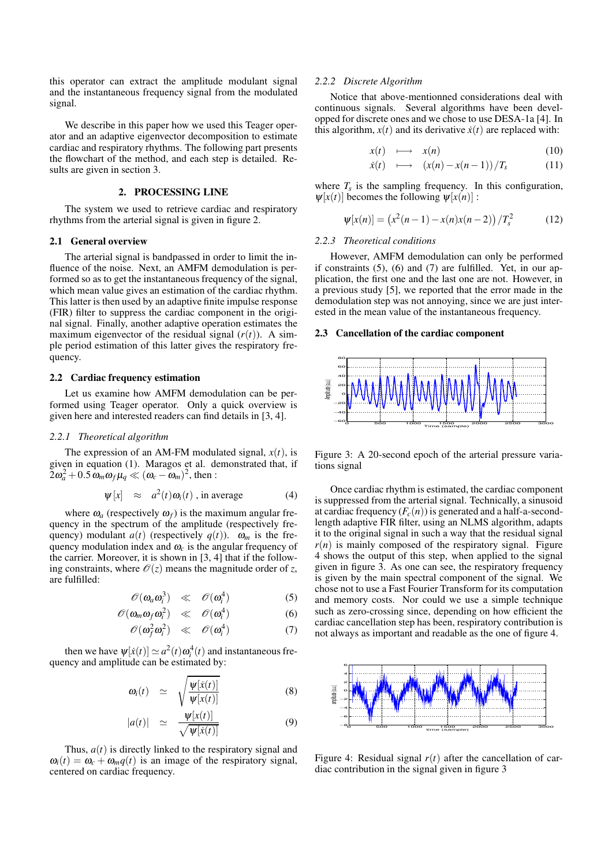this operator can extract the amplitude modulant signal and the instantaneous frequency signal from the modulated signal.

We describe in this paper how we used this Teager operator and an adaptive eigenvector decomposition to estimate cardiac and respiratory rhythms. The following part presents the flowchart of the method, and each step is detailed. Results are given in section 3.

# **2. PROCESSING LINE**

The system we used to retrieve cardiac and respiratory rhythms from the arterial signal is given in figure 2.

### **2.1 General overview**

The arterial signal is bandpassed in order to limit the influence of the noise. Next, an AMFM demodulation is performed so as to get the instantaneous frequency of the signal, which mean value gives an estimation of the cardiac rhythm. This latter is then used by an adaptive finite impulse response (FIR) filter to suppress the cardiac component in the original signal. Finally, another adaptive operation estimates the maximum eigenvector of the residual signal  $(r(t))$ . A simple period estimation of this latter gives the respiratory frequency.

### **2.2 Cardiac frequency estimation**

Let us examine how AMFM demodulation can be performed using Teager operator. Only a quick overview is given here and interested readers can find details in [3, 4].

# *2.2.1 Theoretical algorithm*

The expression of an AM-FM modulated signal,  $x(t)$ , is given in equation (1). Maragos et al. demonstrated that, if  $2\omega_a^2 + 0.5\omega_m\omega_f\mu_q \ll (\omega_c - \omega_m)^2$ , then :

$$
\Psi[x] \approx a^2(t)\omega_i(t) \text{ , in average } (4)
$$

where  $\omega_a$  (respectively  $\omega_f$ ) is the maximum angular frequency in the spectrum of the amplitude (respectively frequency) modulant  $a(t)$  (respectively  $q(t)$ ).  $\omega_m$  is the frequency modulation index and  $\omega_c$  is the angular frequency of the carrier. Moreover, it is shown in [3, 4] that if the following constraints, where  $\mathcal{O}(z)$  means the magnitude order of *z*, are fulfilled:

$$
\mathscr{O}(\omega_a \omega_i^3) \quad \ll \quad \mathscr{O}(\omega_i^4) \tag{5}
$$

$$
\mathscr{O}(\omega_m \omega_f \omega_i^2) \quad \ll \quad \mathscr{O}(\omega_i^4) \tag{6}
$$

$$
\mathscr{O}(\omega_f^2 \omega_i^2) \quad \ll \quad \mathscr{O}(\omega_i^4) \tag{7}
$$

then we have  $\psi[x(t)] \simeq a^2(t)\omega_i^4(t)$  and instantaneous frequency and amplitude can be estimated by:

$$
\omega_i(t) \quad \simeq \quad \sqrt{\frac{\psi[\dot{x}(t)]}{\psi[x(t)]}} \tag{8}
$$

$$
|a(t)| \simeq \frac{\Psi[x(t)]}{\sqrt{\Psi[\dot{x}(t)]}} \tag{9}
$$

Thus,  $a(t)$  is directly linked to the respiratory signal and  $\omega_i(t) = \omega_c + \omega_m q(t)$  is an image of the respiratory signal, centered on cardiac frequency.

#### *2.2.2 Discrete Algorithm*

Notice that above-mentionned considerations deal with continuous signals. Several algorithms have been developped for discrete ones and we chose to use DESA-1a [4]. In this algorithm,  $x(t)$  and its derivative  $\dot{x}(t)$  are replaced with:

$$
x(t) \longrightarrow x(n) \tag{10}
$$

$$
\dot{x}(t) \quad \longmapsto \quad (x(n) - x(n-1))/T_s \tag{11}
$$

where  $T_s$  is the sampling frequency. In this configuration,  $\psi[x(t)]$  becomes the following  $\psi[x(n)]$ :

$$
\Psi[x(n)] = (x^2(n-1) - x(n)x(n-2))/T_s^2 \tag{12}
$$

# *2.2.3 Theoretical conditions*

However, AMFM demodulation can only be performed if constraints  $(5)$ ,  $(6)$  and  $(7)$  are fulfilled. Yet, in our application, the first one and the last one are not. However, in a previous study [5], we reported that the error made in the demodulation step was not annoying, since we are just interested in the mean value of the instantaneous frequency.

# **2.3 Cancellation of the cardiac component**



Figure 3: A 20-second epoch of the arterial pressure variations signal

Once cardiac rhythm is estimated, the cardiac component is suppressed from the arterial signal. Technically, a sinusoid at cardiac frequency  $(F_c(n))$  is generated and a half-a-secondlength adaptive FIR filter, using an NLMS algorithm, adapts it to the original signal in such a way that the residual signal  $r(n)$  is mainly composed of the respiratory signal. Figure 4 shows the output of this step, when applied to the signal given in figure 3. As one can see, the respiratory frequency is given by the main spectral component of the signal. We chose not to use a Fast Fourier Transform for its computation and memory costs. Nor could we use a simple technique such as zero-crossing since, depending on how efficient the cardiac cancellation step has been, respiratory contribution is not always as important and readable as the one of figure 4.



Figure 4: Residual signal  $r(t)$  after the cancellation of cardiac contribution in the signal given in figure 3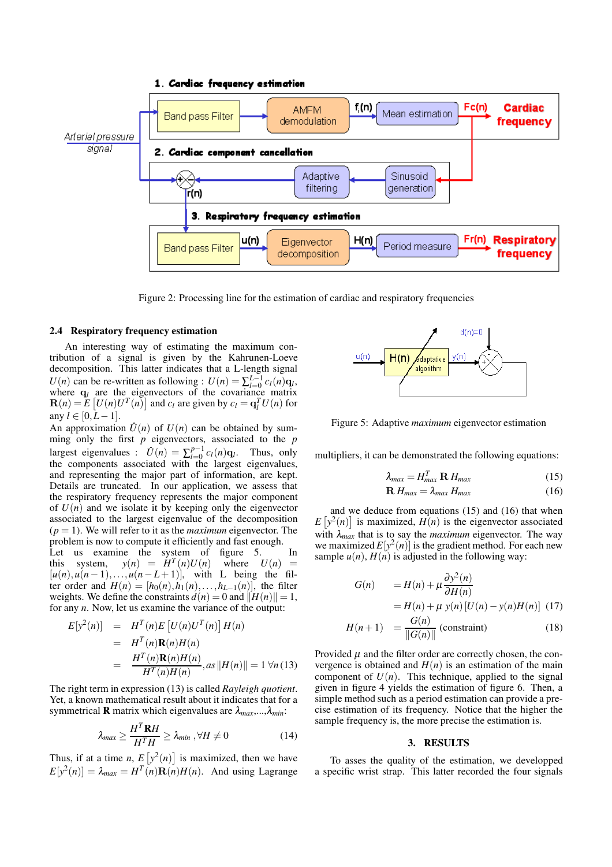

Figure 2: Processing line for the estimation of cardiac and respiratory frequencies

#### **2.4 Respiratory frequency estimation**

An interesting way of estimating the maximum contribution of a signal is given by the Kahrunen-Loeve decomposition. This latter indicates that a L-length signal *U*(*n*) can be re-written as following :  $U(n) = \sum_{l=0}^{L-1} c_l(n) \mathbf{q}_l$ , where  $q_l$  are the eigenvectors of the covariance matrix  $\mathbf{R}(n) = \mathbf{\tilde{E}} \left[ U(n)U^T(n) \right]$  and  $c_l$  are given by  $c_l = \mathbf{q}_l^T U(n)$  for any  $l$  ∈ [0, $L-1$ ].

An approximation  $\hat{U}(n)$  of  $U(n)$  can be obtained by summing only the first *p* eigenvectors, associated to the *p* largest eigenvalues :  $\hat{U}(n) = \sum_{l=0}^{p-1}$  $_{l=0}^{p-1} c_l(n) \mathbf{q}_l$ . Thus, only the components associated with the largest eigenvalues, and representing the major part of information, are kept. Details are truncated. In our application, we assess that the respiratory frequency represents the major component of  $U(n)$  and we isolate it by keeping only the eigenvector associated to the largest eigenvalue of the decomposition  $(p = 1)$ . We will refer to it as the *maximum* eigenvector. The problem is now to compute it efficiently and fast enough. Let us examine the system of figure 5. In this system,  $y(n) = H^T$ where  $U(n) =$  $[u(n), u(n-1), \ldots, u(n-L+1)]$ , with L being the fil-

ter order and  $H(n) = [h_0(n), h_1(n), \ldots, h_{L-1}(n)]$ , the filter weights. We define the constraints  $d(n) = 0$  and  $||H(n)|| = 1$ , for any *n*. Now, let us examine the variance of the output:

$$
E[y^{2}(n)] = H^{T}(n)E[U(n)U^{T}(n)]H(n)
$$
  
=  $H^{T}(n)\mathbf{R}(n)H(n)$   
=  $\frac{H^{T}(n)\mathbf{R}(n)H(n)}{H^{T}(n)H(n)}, as ||H(n)|| = 1 \forall n (13)$ 

The right term in expression (13) is called *Rayleigh quotient*. Yet, a known mathematical result about it indicates that for a symmetrical **R** matrix which eigenvalues are <sup>λ</sup>*max*,...,λ*min*:

$$
\lambda_{max} \ge \frac{H^T \mathbf{R} H}{H^T H} \ge \lambda_{min}, \forall H \ne 0 \tag{14}
$$

Thus, if at a time *n*,  $E[y^2(n)]$  is maximized, then we have  $E[y^2(n)] = \lambda_{max} = H^T(n) \mathbf{R}(n) H(n)$ . And using Lagrange



Figure 5: Adaptive *maximum* eigenvector estimation

multipliers, it can be demonstrated the following equations:

$$
\lambda_{max} = H_{max}^T \mathbf{R} H_{max} \tag{15}
$$

$$
\mathbf{R} H_{\text{max}} = \lambda_{\text{max}} H_{\text{max}} \tag{16}
$$

and we deduce from equations (15) and (16) that when  $E[y^2(n)]$  is maximized,  $H(n)$  is the eigenvector associated with  $\lambda_{max}$  that is to say the *maximum* eigenvector. The way we maximized  $E[y^2(n)]$  is the gradient method. For each new sample  $u(n)$ ,  $H(n)$  is adjusted in the following way:

$$
G(n) = H(n) + \mu \frac{\partial y^2(n)}{\partial H(n)}
$$
  
= H(n) + \mu y(n) [U(n) - y(n)H(n)] (17)

$$
H(n+1) = \frac{G(n)}{\|G(n)\|} \text{ (constraint)}
$$
 (18)

Provided  $\mu$  and the filter order are correctly chosen, the convergence is obtained and  $H(n)$  is an estimation of the main component of  $U(n)$ . This technique, applied to the signal given in figure 4 yields the estimation of figure 6. Then, a simple method such as a period estimation can provide a precise estimation of its frequency. Notice that the higher the sample frequency is, the more precise the estimation is.

#### **3. RESULTS**

To asses the quality of the estimation, we developped a specific wrist strap. This latter recorded the four signals